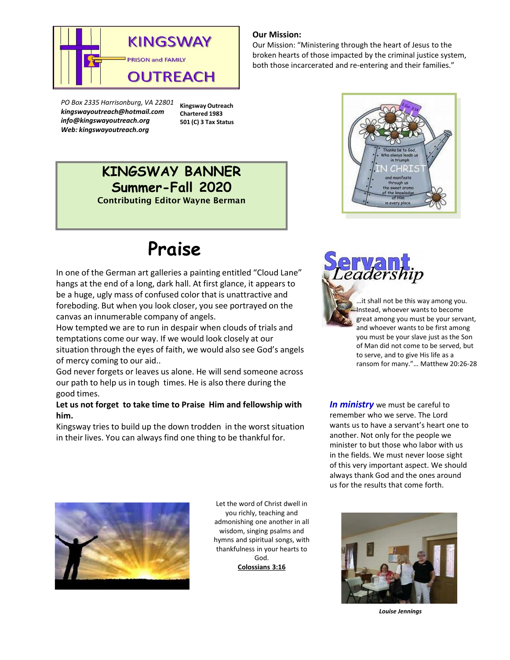

*PO Box 2335 Harrisonburg, VA 22801 kingswayoutreach@hotmail.com info@kingswayoutreach.org Web: kingswayoutreach.org* 

**Kingsway Outreach Chartered 1983 501 (C) 3 Tax Status**

## **KINGSWAY BANNER Summer-Fall 2020**

Contributing Editor Wayne Berman

# **Praise**

In one of the German art galleries a painting entitled "Cloud Lane" hangs at the end of a long, dark hall. At first glance, it appears to be a huge, ugly mass of confused color that is unattractive and foreboding. But when you look closer, you see portrayed on the canvas an innumerable company of angels.

How tempted we are to run in despair when clouds of trials and temptations come our way. If we would look closely at our situation through the eyes of faith, we would also see God's angels of mercy coming to our aid..

God never forgets or leaves us alone. He will send someone across our path to help us in tough times. He is also there during the good times.

#### **Let us not forget to take time to Praise Him and fellowship with him.**

Kingsway tries to build up the down trodden in the worst situation in their lives. You can always find one thing to be thankful for.

### **Our Mission:**

Our Mission: "Ministering through the heart of Jesus to the broken hearts of those impacted by the criminal justice system, both those incarcerated and re-entering and their families."





…it shall not be this way among you. Instead, whoever wants to become great among you must be your servant, and whoever wants to be first among you must be your slave just as the Son of Man did not come to be served, but to serve, and to give His life as a ransom for many."… Matthew 20:26-28

*In ministry* we must be careful to remember who we serve. The Lord wants us to have a servant's heart one to another. Not only for the people we minister to but those who labor with us in the fields. We must never loose sight of this very important aspect. We should always thank God and the ones around us for the results that come forth.



Let the word of Christ dwell in you richly, teaching and admonishing one another in all wisdom, singing psalms and hymns and spiritual songs, with thankfulness in your hearts to God. **Colossians 3:16**



*Louise Jennings*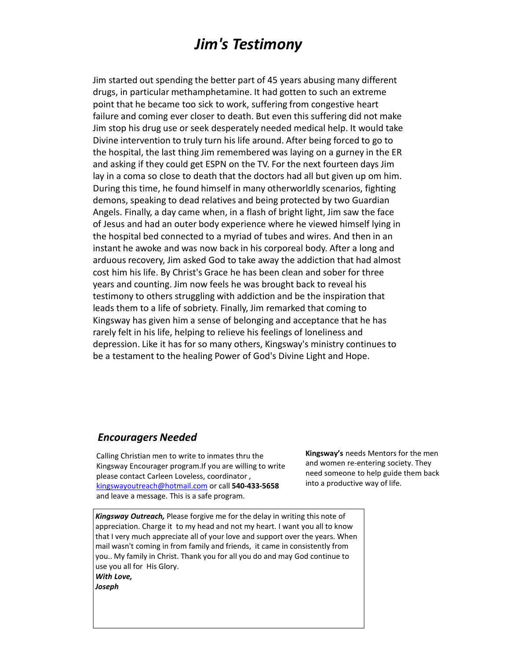# *Jim's Testimony*

Jim started out spending the better part of 45 years abusing many different drugs, in particular methamphetamine. It had gotten to such an extreme point that he became too sick to work, suffering from congestive heart failure and coming ever closer to death. But even this suffering did not make Jim stop his drug use or seek desperately needed medical help. It would take Divine intervention to truly turn his life around. After being forced to go to the hospital, the last thing Jim remembered was laying on a gurney in the ER and asking if they could get ESPN on the TV. For the next fourteen days Jim lay in a coma so close to death that the doctors had all but given up om him. During this time, he found himself in many otherworldly scenarios, fighting demons, speaking to dead relatives and being protected by two Guardian Angels. Finally, a day came when, in a flash of bright light, Jim saw the face of Jesus and had an outer body experience where he viewed himself lying in the hospital bed connected to a myriad of tubes and wires. And then in an instant he awoke and was now back in his corporeal body. After a long and arduous recovery, Jim asked God to take away the addiction that had almost cost him his life. By Christ's Grace he has been clean and sober for three years and counting. Jim now feels he was brought back to reveal his testimony to others struggling with addiction and be the inspiration that leads them to a life of sobriety. Finally, Jim remarked that coming to Kingsway has given him a sense of belonging and acceptance that he has rarely felt in his life, helping to relieve his feelings of loneliness and depression. Like it has for so many others, Kingsway's ministry continues to be a testament to the healing Power of God's Divine Light and Hope.

### *Encouragers Needed*

Calling Christian men to write to inmates thru the Kingsway Encourager program.If you are willing to write please contact Carleen Loveless, coordinator , kingswayoutreach@hotmail.com or call **540-433-5658**  and leave a message. This is a safe program.

**Kingsway's** needs Mentors for the men and women re-entering society. They need someone to help guide them back into a productive way of life.

*Kingsway Outreach,* Please forgive me for the delay in writing this note of appreciation. Charge it to my head and not my heart. I want you all to know that I very much appreciate all of your love and support over the years. When mail wasn't coming in from family and friends, it came in consistently from you.. My family in Christ. Thank you for all you do and may God continue to use you all for His Glory. *With Love, Joseph*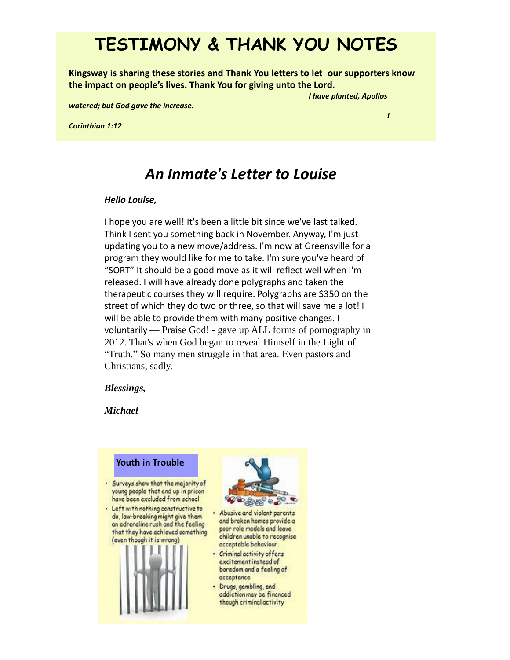# **TESTIMONY & THANK YOU NOTES**

**Kingsway is sharing these stories and Thank You letters to let our supporters know the impact on people's lives. Thank You for giving unto the Lord.**

*I have planted, Apollos* 

*I* 

*watered; but God gave the increase.* 

*Corinthian 1:12*

## *An Inmate's Letter to Louise*

#### *Hello Louise,*

I hope you are well! It's been a little bit since we've last talked. Think I sent you something back in November. Anyway, I'm just updating you to a new move/address. I'm now at Greensville for a program they would like for me to take. I'm sure you've heard of "SORT" It should be a good move as it will reflect well when I'm released. I will have already done polygraphs and taken the therapeutic courses they will require. Polygraphs are \$350 on the street of which they do two or three, so that will save me a lot! I will be able to provide them with many positive changes. I voluntarily — Praise God! - gave up ALL forms of pornography in 2012. That's when God began to reveal Himself in the Light of "Truth." So many men struggle in that area. Even pastors and Christians, sadly.

#### *Blessings,*

*Michael*







- · Criminal activity offers excitement instead of boredom and a feeling of acceptance
- · Drugs, gambling, and addiction may be financed though criminal activity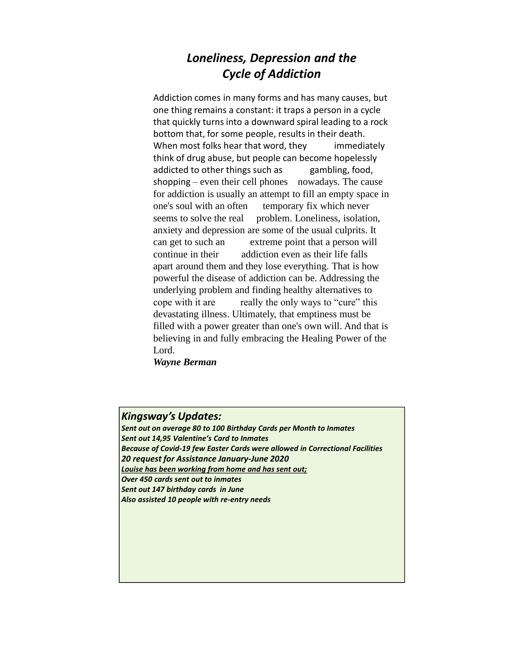### *Loneliness, Depression and the Cycle of Addiction*

Addiction comes in many forms and has many causes, but one thing remains a constant: it traps a person in a cycle that quickly turns into a downward spiral leading to a rock bottom that, for some people, results in their death. When most folks hear that word, they immediately think of drug abuse, but people can become hopelessly addicted to other things such as gambling, food, shopping – even their cell phones nowadays. The cause for addiction is usually an attempt to fill an empty space in one's soul with an often temporary fix which never seems to solve the real problem. Loneliness, isolation, anxiety and depression are some of the usual culprits. It can get to such an extreme point that a person will continue in their addiction even as their life falls apart around them and they lose everything. That is how powerful the disease of addiction can be. Addressing the underlying problem and finding healthy alternatives to cope with it are really the only ways to "cure" this devastating illness. Ultimately, that emptiness must be filled with a power greater than one's own will. And that is believing in and fully embracing the Healing Power of the Lord.

*Wayne Berman*

### *Kingsway's Updates:*

*Sent out on average 80 to 100 Birthday Cards per Month to Inmates Sent out 14,95 Valentine's Card to Inmates Because of Covid-19 few Easter Cards were allowed in Correctional Facilities 20 request for Assistance January-June 2020 Louise has been working from home and has sent out; Over 450 cards sent out to inmates Sent out 147 birthday cards in June Also assisted 10 people with re-entry needs*